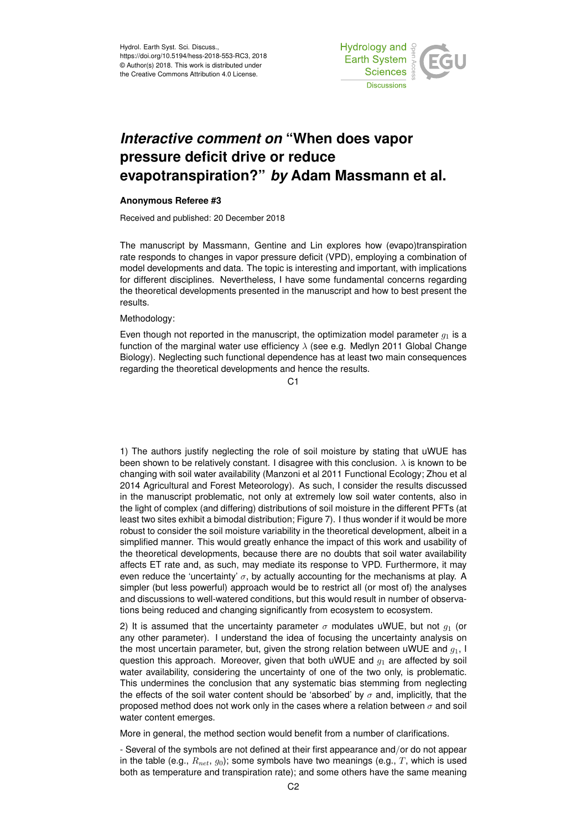

## *Interactive comment on* **"When does vapor pressure deficit drive or reduce evapotranspiration?"** *by* **Adam Massmann et al.**

## **Anonymous Referee #3**

Received and published: 20 December 2018

The manuscript by Massmann, Gentine and Lin explores how (evapo)transpiration rate responds to changes in vapor pressure deficit (VPD), employing a combination of model developments and data. The topic is interesting and important, with implications for different disciplines. Nevertheless, I have some fundamental concerns regarding the theoretical developments presented in the manuscript and how to best present the results.

## Methodology:

Even though not reported in the manuscript, the optimization model parameter  $q_1$  is a function of the marginal water use efficiency  $\lambda$  (see e.g. Medlyn 2011 Global Change Biology). Neglecting such functional dependence has at least two main consequences regarding the theoretical developments and hence the results.

 $C<sub>1</sub>$ 

1) The authors justify neglecting the role of soil moisture by stating that uWUE has been shown to be relatively constant. I disagree with this conclusion.  $\lambda$  is known to be changing with soil water availability (Manzoni et al 2011 Functional Ecology; Zhou et al 2014 Agricultural and Forest Meteorology). As such, I consider the results discussed in the manuscript problematic, not only at extremely low soil water contents, also in the light of complex (and differing) distributions of soil moisture in the different PFTs (at least two sites exhibit a bimodal distribution; Figure 7). I thus wonder if it would be more robust to consider the soil moisture variability in the theoretical development, albeit in a simplified manner. This would greatly enhance the impact of this work and usability of the theoretical developments, because there are no doubts that soil water availability affects ET rate and, as such, may mediate its response to VPD. Furthermore, it may even reduce the 'uncertainty'  $\sigma$ , by actually accounting for the mechanisms at play. A simpler (but less powerful) approach would be to restrict all (or most of) the analyses and discussions to well-watered conditions, but this would result in number of observations being reduced and changing significantly from ecosystem to ecosystem.

2) It is assumed that the uncertainty parameter  $\sigma$  modulates uWUE, but not  $g_1$  (or any other parameter). I understand the idea of focusing the uncertainty analysis on the most uncertain parameter, but, given the strong relation between uWUE and  $g_1$ , I question this approach. Moreover, given that both uWUE and  $g_1$  are affected by soil water availability, considering the uncertainty of one of the two only, is problematic. This undermines the conclusion that any systematic bias stemming from neglecting the effects of the soil water content should be 'absorbed' by  $\sigma$  and, implicitly, that the proposed method does not work only in the cases where a relation between  $\sigma$  and soil water content emerges.

More in general, the method section would benefit from a number of clarifications.

- Several of the symbols are not defined at their first appearance and/or do not appear in the table (e.g.,  $R_{net}$ ,  $g_0$ ); some symbols have two meanings (e.g., T, which is used both as temperature and transpiration rate); and some others have the same meaning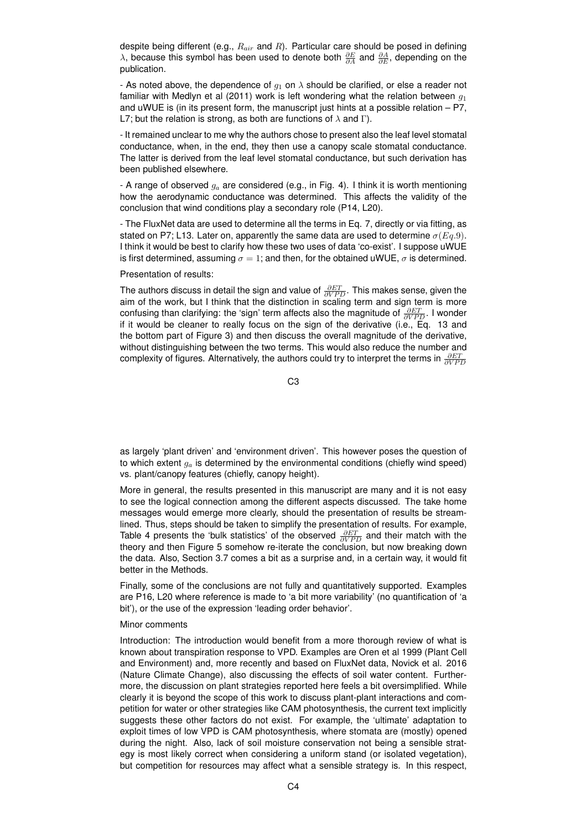despite being different (e.g.,  $R_{air}$  and  $R$ ). Particular care should be posed in defining  $\lambda$ , because this symbol has been used to denote both  $\frac{\partial E}{\partial A}$  and  $\frac{\partial A}{\partial E}$ , depending on the publication.

- As noted above, the dependence of  $q_1$  on  $\lambda$  should be clarified, or else a reader not familiar with Medlyn et al (2011) work is left wondering what the relation between  $q_1$ and uWUE is (in its present form, the manuscript just hints at a possible relation – P7, L7; but the relation is strong, as both are functions of  $\lambda$  and Γ).

- It remained unclear to me why the authors chose to present also the leaf level stomatal conductance, when, in the end, they then use a canopy scale stomatal conductance. The latter is derived from the leaf level stomatal conductance, but such derivation has been published elsewhere.

- A range of observed  $g_a$  are considered (e.g., in Fig. 4). I think it is worth mentioning how the aerodynamic conductance was determined. This affects the validity of the conclusion that wind conditions play a secondary role (P14, L20).

- The FluxNet data are used to determine all the terms in Eq. 7, directly or via fitting, as stated on P7; L13. Later on, apparently the same data are used to determine  $\sigma(Eq.9)$ . I think it would be best to clarify how these two uses of data 'co-exist'. I suppose uWUE is first determined, assuming  $\sigma = 1$ ; and then, for the obtained uWUE,  $\sigma$  is determined.

Presentation of results:

The authors discuss in detail the sign and value of  $\frac{\partial ET}{\partial VPD}$ . This makes sense, given the aim of the work, but I think that the distinction in scaling term and sign term is more confusing than clarifying: the 'sign' term affects also the magnitude of  $\frac{\partial ET}{\partial VPD}$ . I wonder if it would be cleaner to really focus on the sign of the derivative (i.e., Eq. 13 and the bottom part of Figure 3) and then discuss the overall magnitude of the derivative, without distinguishing between the two terms. This would also reduce the number and complexity of figures. Alternatively, the authors could try to interpret the terms in  $\frac{\partial ET}{\partial VPD}$ 

C3

as largely 'plant driven' and 'environment driven'. This however poses the question of to which extent  $g_a$  is determined by the environmental conditions (chiefly wind speed) vs. plant/canopy features (chiefly, canopy height).

More in general, the results presented in this manuscript are many and it is not easy to see the logical connection among the different aspects discussed. The take home messages would emerge more clearly, should the presentation of results be streamlined. Thus, steps should be taken to simplify the presentation of results. For example, Table 4 presents the 'bulk statistics' of the observed  $\frac{\partial ET}{\partial VPD}$  and their match with the theory and then Figure 5 somehow re-iterate the conclusion, but now breaking down the data. Also, Section 3.7 comes a bit as a surprise and, in a certain way, it would fit better in the Methods.

Finally, some of the conclusions are not fully and quantitatively supported. Examples are P16, L20 where reference is made to 'a bit more variability' (no quantification of 'a bit'), or the use of the expression 'leading order behavior'.

## Minor comments

Introduction: The introduction would benefit from a more thorough review of what is known about transpiration response to VPD. Examples are Oren et al 1999 (Plant Cell and Environment) and, more recently and based on FluxNet data, Novick et al. 2016 (Nature Climate Change), also discussing the effects of soil water content. Furthermore, the discussion on plant strategies reported here feels a bit oversimplified. While clearly it is beyond the scope of this work to discuss plant-plant interactions and competition for water or other strategies like CAM photosynthesis, the current text implicitly suggests these other factors do not exist. For example, the 'ultimate' adaptation to exploit times of low VPD is CAM photosynthesis, where stomata are (mostly) opened during the night. Also, lack of soil moisture conservation not being a sensible strategy is most likely correct when considering a uniform stand (or isolated vegetation), but competition for resources may affect what a sensible strategy is. In this respect,